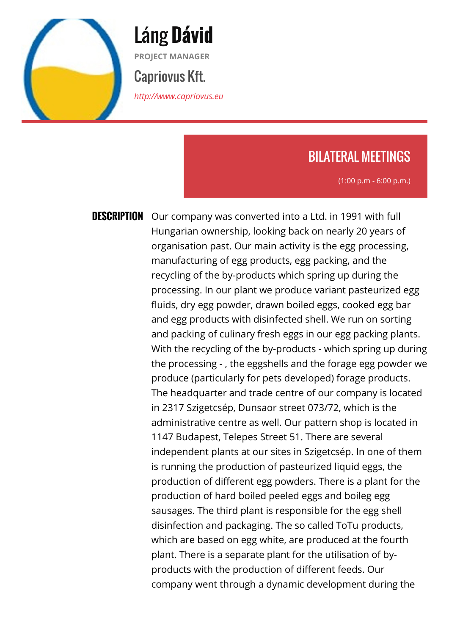

Láng **Dávid PROJECT MANAGER** Capriovus Kft.

*<http://www.capriovus.eu>*

## BILATERAL MEETINGS

(1:00 p.m - 6:00 p.m.)

**DESCRIPTION** Our company was converted into a Ltd. in 1991 with full Hungarian ownership, looking back on nearly 20 years of organisation past. Our main activity is the egg processing, manufacturing of egg products, egg packing, and the recycling of the by-products which spring up during the processing. In our plant we produce variant pasteurized egg fluids, dry egg powder, drawn boiled eggs, cooked egg bar and egg products with disinfected shell. We run on sorting and packing of culinary fresh eggs in our egg packing plants. With the recycling of the by-products - which spring up during the processing - , the eggshells and the forage egg powder we produce (particularly for pets developed) forage products. The headquarter and trade centre of our company is located in 2317 Szigetcsép, Dunsaor street 073/72, which is the administrative centre as well. Our pattern shop is located in 1147 Budapest, Telepes Street 51. There are several independent plants at our sites in Szigetcsép. In one of them is running the production of pasteurized liquid eggs, the production of different egg powders. There is a plant for the production of hard boiled peeled eggs and boileg egg sausages. The third plant is responsible for the egg shell disinfection and packaging. The so called ToTu products, which are based on egg white, are produced at the fourth plant. There is a separate plant for the utilisation of byproducts with the production of different feeds. Our company went through a dynamic development during the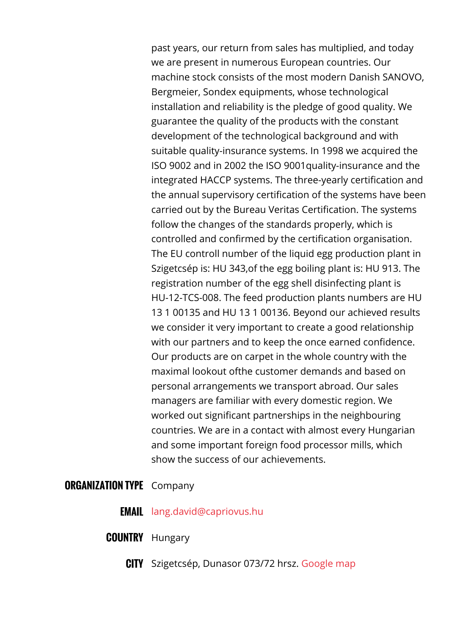past years, our return from sales has multiplied, and today we are present in numerous European countries. Our machine stock consists of the most modern Danish SANOVO, Bergmeier, Sondex equipments, whose technological installation and reliability is the pledge of good quality. We guarantee the quality of the products with the constant development of the technological background and with suitable quality-insurance systems. In 1998 we acquired the ISO 9002 and in 2002 the ISO 9001quality-insurance and the integrated HACCP systems. The three-yearly certification and the annual supervisory certification of the systems have been carried out by the Bureau Veritas Certification. The systems follow the changes of the standards properly, which is controlled and confirmed by the certification organisation. The EU controll number of the liquid egg production plant in Szigetcsép is: HU 343,of the egg boiling plant is: HU 913. The registration number of the egg shell disinfecting plant is HU-12-TCS-008. The feed production plants numbers are HU 13 1 00135 and HU 13 1 00136. Beyond our achieved results we consider it very important to create a good relationship with our partners and to keep the once earned confidence. Our products are on carpet in the whole country with the maximal lookout ofthe customer demands and based on personal arrangements we transport abroad. Our sales managers are familiar with every domestic region. We worked out significant partnerships in the neighbouring countries. We are in a contact with almost every Hungarian and some important foreign food processor mills, which show the success of our achievements.

## **ORGANIZATION TYPE** Company

- **EMAIL** [lang.david@capriovus.hu](mailto:lang.david@capriovus.hu)
- **COUNTRY** Hungary
	- **CITY** Szigetcsép, Dunasor 073/72 hrsz. [Google map](http://agrob2b.talkb2b.net/home/map?city=Szigetcsép&address=Dunasor 073/72 hrsz.)